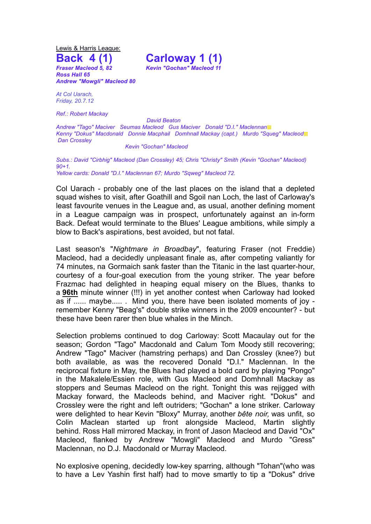Lewis & Harris League: **Back 4 (1) Carloway 1 (1)**

*Fraser Macleod 5, 82 Kevin "Gochan" Macleod 11 Ross Hall 65 Andrew "Mowgli" Macleod 80*

*At Col Uarach, Friday, 20.7.12*

*Ref.: Robert Mackay*

*David Beaton*

*Andrew "Tago" Maciver Seumas Macleod Gus Maciver Donald "D.I." Maclennan*▩ *Kenny "Dokus" Macdonald Donnie Macphail Domhnall Mackay (capt.) Murdo "Squeg" Macleod*▩ *Dan Crossley*

*Kevin "Gochan" Macleod*

*Subs.: David "Cirbhig" Macleod (Dan Crossley) 45; Chris "Christy" Smith (Kevin "Gochan" Macleod) 90+1. Yellow cards: Donald "D.I." Maclennan 67; Murdo "Sqweg" Macleod 72.*

Col Uarach - probably one of the last places on the island that a depleted squad wishes to visit, after Goathill and Sgoil nan Loch, the last of Carloway's least favourite venues in the League and, as usual, another defining moment in a League campaign was in prospect, unfortunately against an in-form Back. Defeat would terminate to the Blues' League ambitions, while simply a blow to Back's aspirations, best avoided, but not fatal.

Last season's "*Nightmare in Broadbay*", featuring Fraser (not Freddie) Macleod, had a decidedly unpleasant finale as, after competing valiantly for 74 minutes, na Gormaich sank faster than the Titanic in the last quarter-hour, courtesy of a four-goal execution from the young striker. The year before Frazmac had delighted in heaping equal misery on the Blues, thanks to a **96th** minute winner (!!!) in yet another contest when Carloway had looked as if ...... maybe..... . Mind you, there have been isolated moments of joy remember Kenny "Beag's" double strike winners in the 2009 encounter? - but these have been rarer then blue whales in the Minch.

Selection problems continued to dog Carloway: Scott Macaulay out for the season; Gordon "Tago" Macdonald and Calum Tom Moody still recovering; Andrew "Tago" Maciver (hamstring perhaps) and Dan Crossley (knee?) but both available, as was the recovered Donald "D.I." Maclennan. In the reciprocal fixture in May, the Blues had played a bold card by playing "Pongo" in the Makalele/Essien role, with Gus Macleod and Domhnall Mackay as stoppers and Seumas Macleod on the right. Tonight this was rejigged with Mackay forward, the Macleods behind, and Maciver right. "Dokus" and Crossley were the right and left outriders; "Gochan" a lone striker. Carloway were delighted to hear Kevin "Bloxy" Murray, another *bête noir,* was unfit, so Colin Maclean started up front alongside Macleod, Martin slightly behind. Ross Hall mirrored Mackay, in front of Jason Macleod and David "Ox" Macleod, flanked by Andrew "Mowgli" Macleod and Murdo "Gress" Maclennan, no D.J. Macdonald or Murray Macleod.

No explosive opening, decidedly low-key sparring, although "Tohan"(who was to have a Lev Yashin first half) had to move smartly to tip a "Dokus" drive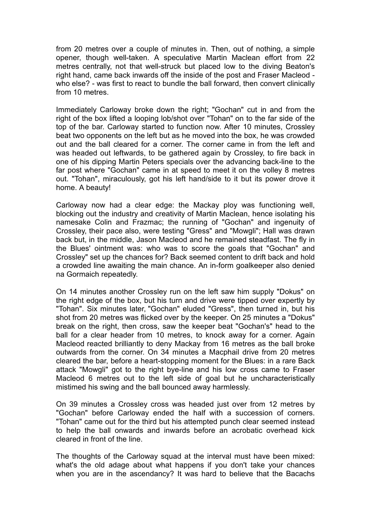from 20 metres over a couple of minutes in. Then, out of nothing, a simple opener, though well-taken. A speculative Martin Maclean effort from 22 metres centrally, not that well-struck but placed low to the diving Beaton's right hand, came back inwards off the inside of the post and Fraser Macleod who else? - was first to react to bundle the ball forward, then convert clinically from 10 metres.

Immediately Carloway broke down the right; "Gochan" cut in and from the right of the box lifted a looping lob/shot over "Tohan" on to the far side of the top of the bar. Carloway started to function now. After 10 minutes, Crossley beat two opponents on the left but as he moved into the box, he was crowded out and the ball cleared for a corner. The corner came in from the left and was headed out leftwards, to be gathered again by Crossley, to fire back in one of his dipping Martin Peters specials over the advancing back-line to the far post where "Gochan" came in at speed to meet it on the volley 8 metres out. "Tohan", miraculously, got his left hand/side to it but its power drove it home. A beauty!

Carloway now had a clear edge: the Mackay ploy was functioning well, blocking out the industry and creativity of Martin Maclean, hence isolating his namesake Colin and Frazmac; the running of "Gochan" and ingenuity of Crossley, their pace also, were testing "Gress" and "Mowgli"; Hall was drawn back but, in the middle, Jason Macleod and he remained steadfast. The fly in the Blues' ointment was: who was to score the goals that "Gochan" and Crossley" set up the chances for? Back seemed content to drift back and hold a crowded line awaiting the main chance. An in-form goalkeeper also denied na Gormaich repeatedly.

On 14 minutes another Crossley run on the left saw him supply "Dokus" on the right edge of the box, but his turn and drive were tipped over expertly by "Tohan". Six minutes later, "Gochan" eluded "Gress", then turned in, but his shot from 20 metres was flicked over by the keeper. On 25 minutes a "Dokus" break on the right, then cross, saw the keeper beat "Gochan's" head to the ball for a clear header from 10 metres, to knock away for a corner. Again Macleod reacted brilliantly to deny Mackay from 16 metres as the ball broke outwards from the corner. On 34 minutes a Macphail drive from 20 metres cleared the bar, before a heart-stopping moment for the Blues: in a rare Back attack "Mowgli" got to the right bye-line and his low cross came to Fraser Macleod 6 metres out to the left side of goal but he uncharacteristically mistimed his swing and the ball bounced away harmlessly.

On 39 minutes a Crossley cross was headed just over from 12 metres by "Gochan" before Carloway ended the half with a succession of corners. "Tohan" came out for the third but his attempted punch clear seemed instead to help the ball onwards and inwards before an acrobatic overhead kick cleared in front of the line.

The thoughts of the Carloway squad at the interval must have been mixed: what's the old adage about what happens if you don't take your chances when you are in the ascendancy? It was hard to believe that the Bacachs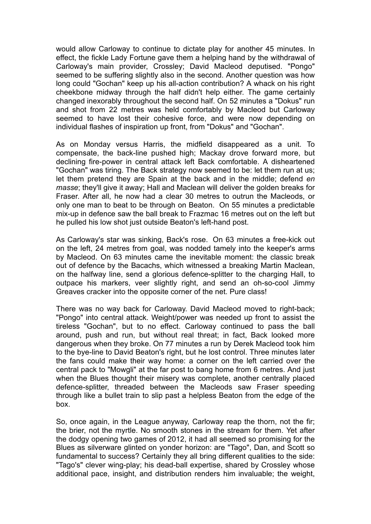would allow Carloway to continue to dictate play for another 45 minutes. In effect, the fickle Lady Fortune gave them a helping hand by the withdrawal of Carloway's main provider, Crossley; David Macleod deputised. "Pongo" seemed to be suffering slightly also in the second. Another question was how long could "Gochan" keep up his all-action contribution? A whack on his right cheekbone midway through the half didn't help either. The game certainly changed inexorably throughout the second half. On 52 minutes a "Dokus" run and shot from 22 metres was held comfortably by Macleod but Carloway seemed to have lost their cohesive force, and were now depending on individual flashes of inspiration up front, from "Dokus" and "Gochan".

As on Monday versus Harris, the midfield disappeared as a unit. To compensate, the back-line pushed high; Mackay drove forward more, but declining fire-power in central attack left Back comfortable. A disheartened "Gochan" was tiring. The Back strategy now seemed to be: let them run at us; let them pretend they are Spain at the back and in the middle; defend *en masse*; they'll give it away; Hall and Maclean will deliver the golden breaks for Fraser. After all, he now had a clear 30 metres to outrun the Macleods, or only one man to beat to be through on Beaton. On 55 minutes a predictable mix-up in defence saw the ball break to Frazmac 16 metres out on the left but he pulled his low shot just outside Beaton's left-hand post.

As Carloway's star was sinking, Back's rose. On 63 minutes a free-kick out on the left, 24 metres from goal, was nodded tamely into the keeper's arms by Macleod. On 63 minutes came the inevitable moment: the classic break out of defence by the Bacachs, which witnessed a breaking Martin Maclean, on the halfway line, send a glorious defence-splitter to the charging Hall, to outpace his markers, veer slightly right, and send an oh-so-cool Jimmy Greaves cracker into the opposite corner of the net. Pure class!

There was no way back for Carloway. David Macleod moved to right-back; "Pongo" into central attack. Weight/power was needed up front to assist the tireless "Gochan", but to no effect. Carloway continued to pass the ball around, push and run, but without real threat; in fact, Back looked more dangerous when they broke. On 77 minutes a run by Derek Macleod took him to the bye-line to David Beaton's right, but he lost control. Three minutes later the fans could make their way home: a corner on the left carried over the central pack to "Mowgli" at the far post to bang home from 6 metres. And just when the Blues thought their misery was complete, another centrally placed defence-splitter, threaded between the Macleods saw Fraser speeding through like a bullet train to slip past a helpless Beaton from the edge of the box.

So, once again, in the League anyway, Carloway reap the thorn, not the fir; the brier, not the myrtle. No smooth stones in the stream for them. Yet after the dodgy opening two games of 2012, it had all seemed so promising for the Blues as silverware glinted on yonder horizon: are "Tago", Dan, and Scott so fundamental to success? Certainly they all bring different qualities to the side: "Tago's" clever wing-play; his dead-ball expertise, shared by Crossley whose additional pace, insight, and distribution renders him invaluable; the weight,